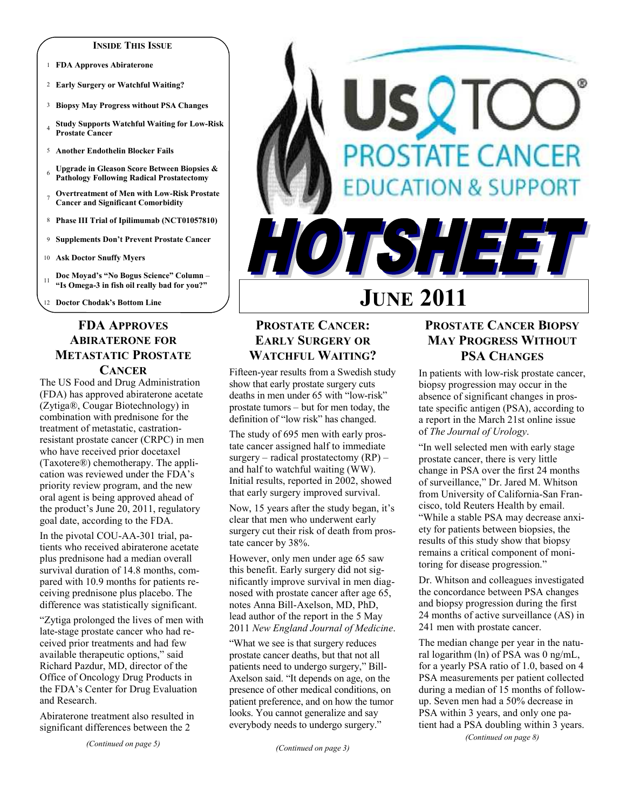#### **INSIDE THIS ISSUE**

- 1 **FDA Approves Abiraterone**
- 2 **Early Surgery or Watchful Waiting?**
- 3 **Biopsy May Progress without PSA Changes**
- <sup>4</sup>**Study Supports Watchful Waiting for Low-Risk Prostate Cancer**
- 5 **Another Endothelin Blocker Fails**
- <sup>6</sup>**Upgrade in Gleason Score Between Biopsies & Pathology Following Radical Prostatectomy**
- <sup>7</sup>**Overtreatment of Men with Low-Risk Prostate Cancer and Significant Comorbidity**
- 8 **Phase III Trial of Ipilimumab (NCT01057810)**
- 9 **Supplements Don't Prevent Prostate Cancer**
- 10 **Ask Doctor Snuffy Myers**
- <sup>11</sup>**Doc Moyad's "No Bogus Science" Column "Is Omega-3 in fish oil really bad for you?"**
- 12 **Doctor Chodak's Bottom Line**

## **FDA APPROVES ABIRATERONE FOR METASTATIC PROSTATE CANCER**

#### The US Food and Drug Administration (FDA) has approved abiraterone acetate (Zytiga®, Cougar Biotechnology) in combination with prednisone for the treatment of metastatic, castrationresistant prostate cancer (CRPC) in men who have received prior docetaxel (Taxotere®) chemotherapy. The application was reviewed under the FDA's priority review program, and the new oral agent is being approved ahead of the product's June 20, 2011, regulatory goal date, according to the FDA.

In the pivotal COU-AA-301 trial, patients who received abiraterone acetate plus prednisone had a median overall survival duration of 14.8 months, compared with 10.9 months for patients receiving prednisone plus placebo. The difference was statistically significant.

"Zytiga prolonged the lives of men with late-stage prostate cancer who had received prior treatments and had few available therapeutic options," said Richard Pazdur, MD, director of the Office of Oncology Drug Products in the FDA's Center for Drug Evaluation and Research.

Abiraterone treatment also resulted in significant differences between the 2

*(Continued on page 5)* 

# SQT **PROSTATE CANCER ATION & SUPPORT** TSHEET **JUNE 2011**

## **PROSTATE CANCER: EARLY SURGERY OR WATCHFUL WAITING?**

Fifteen-year results from a Swedish study show that early prostate surgery cuts deaths in men under 65 with "low-risk" prostate tumors – but for men today, the definition of "low risk" has changed.

The study of 695 men with early prostate cancer assigned half to immediate surgery – radical prostatectomy  $(RP)$  – and half to watchful waiting (WW). Initial results, reported in 2002, showed that early surgery improved survival.

Now, 15 years after the study began, it's clear that men who underwent early surgery cut their risk of death from prostate cancer by 38%.

However, only men under age 65 saw this benefit. Early surgery did not significantly improve survival in men diagnosed with prostate cancer after age 65, notes Anna Bill-Axelson, MD, PhD, lead author of the report in the 5 May 2011 *New England Journal of Medicine*.

"What we see is that surgery reduces prostate cancer deaths, but that not all patients need to undergo surgery," Bill-Axelson said. "It depends on age, on the presence of other medical conditions, on patient preference, and on how the tumor looks. You cannot generalize and say everybody needs to undergo surgery."

## **PROSTATE CANCER BIOPSY MAY PROGRESS WITHOUT PSA CHANGES**

In patients with low-risk prostate cancer, biopsy progression may occur in the absence of significant changes in prostate specific antigen (PSA), according to a report in the March 21st online issue of *The Journal of Urology*.

"In well selected men with early stage prostate cancer, there is very little change in PSA over the first 24 months of surveillance," Dr. Jared M. Whitson from University of California-San Francisco, told Reuters Health by email. "While a stable PSA may decrease anxiety for patients between biopsies, the results of this study show that biopsy remains a critical component of monitoring for disease progression."

Dr. Whitson and colleagues investigated the concordance between PSA changes and biopsy progression during the first 24 months of active surveillance (AS) in 241 men with prostate cancer.

The median change per year in the natural logarithm (ln) of PSA was 0 ng/mL, for a yearly PSA ratio of 1.0, based on 4 PSA measurements per patient collected during a median of 15 months of followup. Seven men had a 50% decrease in PSA within 3 years, and only one patient had a PSA doubling within 3 years.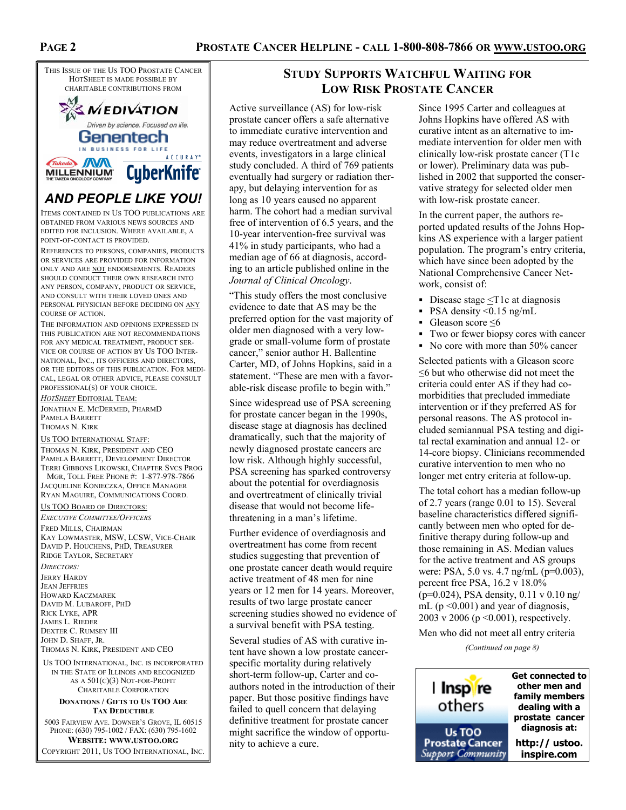

## *AND PEOPLE LIKE YOU!*

ITEMS CONTAINED IN US TOO PUBLICATIONS ARE OBTAINED FROM VARIOUS NEWS SOURCES AND EDITED FOR INCLUSION. WHERE AVAILABLE, A POINT-OF-CONTACT IS PROVIDED.

REFERENCES TO PERSONS, COMPANIES, PRODUCTS OR SERVICES ARE PROVIDED FOR INFORMATION ONLY AND ARE NOT ENDORSEMENTS. READERS SHOULD CONDUCT THEIR OWN RESEARCH INTO ANY PERSON, COMPANY, PRODUCT OR SERVICE, AND CONSULT WITH THEIR LOVED ONES AND PERSONAL PHYSICIAN BEFORE DECIDING ON ANY COURSE OF ACTION.

THE INFORMATION AND OPINIONS EXPRESSED IN THIS PUBLICATION ARE NOT RECOMMENDATIONS FOR ANY MEDICAL TREATMENT, PRODUCT SER-VICE OR COURSE OF ACTION BY US TOO INTER-NATIONAL, INC., ITS OFFICERS AND DIRECTORS, OR THE EDITORS OF THIS PUBLICATION. FOR MEDI-CAL, LEGAL OR OTHER ADVICE, PLEASE CONSULT PROFESSIONAL(S) OF YOUR CHOICE.

*HOTSHEET* EDITORIAL TEAM: JONATHAN E. MCDERMED, PHARMD PAMELA BARRETT THOMAS N. KIRK

#### US TOO INTERNATIONAL STAFF:

THOMAS N. KIRK, PRESIDENT AND CEO PAMELA BARRETT, DEVELOPMENT DIRECTOR TERRI GIBBONS LIKOWSKI, CHAPTER SVCS PROG MGR, TOLL FREE PHONE #: 1-877-978-7866

JACQUELINE KONIECZKA, OFFICE MANAGER RYAN MAGUIRE, COMMUNICATIONS COORD.

## US TOO BOARD OF DIRECTORS:

*EXECUTIVE COMMITTEE/OFFICERS* FRED MILLS, CHAIRMAN KAY LOWMASTER, MSW, LCSW, VICE-CHAIR DAVID P. HOUCHENS, PHD, TREASURER RIDGE TAYLOR, SECRETARY *DIRECTORS:*  JERRY HARDY JEAN JEFFRIES HOWARD KACZMAREK DAVID M. LUBAROFF, PHD RICK LYKE, APR JAMES L. RIEDER DEXTER C. RUMSEY III JOHN D. SHAFF, JR. THOMAS N. KIRK, PRESIDENT AND CEO

US TOO INTERNATIONAL, INC. IS INCORPORATED IN THE STATE OF ILLINOIS AND RECOGNIZED AS A 501(C)(3) NOT-FOR-PROFIT CHARITABLE CORPORATION

#### **DONATIONS / GIFTS TO US TOO ARE TAX DEDUCTIBLE**

5003 FAIRVIEW AVE. DOWNER'S GROVE, IL 60515 PHONE: (630) 795-1002 / FAX: (630) 795-1602 **WEBSITE: WWW.USTOO.ORG** COPYRIGHT 2011, US TOO INTERNATIONAL, INC.

## **STUDY SUPPORTS WATCHFUL WAITING FOR LOW RISK PROSTATE CANCER**

Active surveillance (AS) for low-risk prostate cancer offers a safe alternative to immediate curative intervention and may reduce overtreatment and adverse events, investigators in a large clinical study concluded. A third of 769 patients eventually had surgery or radiation therapy, but delaying intervention for as long as 10 years caused no apparent harm. The cohort had a median survival free of intervention of 6.5 years, and the 10-year intervention-free survival was 41% in study participants, who had a median age of 66 at diagnosis, according to an article published online in the *Journal of Clinical Oncology*.

"This study offers the most conclusive evidence to date that AS may be the preferred option for the vast majority of older men diagnosed with a very lowgrade or small-volume form of prostate cancer," senior author H. Ballentine Carter, MD, of Johns Hopkins, said in a statement. "These are men with a favorable-risk disease profile to begin with."

Since widespread use of PSA screening for prostate cancer began in the 1990s, disease stage at diagnosis has declined dramatically, such that the majority of newly diagnosed prostate cancers are low risk. Although highly successful, PSA screening has sparked controversy about the potential for overdiagnosis and overtreatment of clinically trivial disease that would not become lifethreatening in a man's lifetime.

Further evidence of overdiagnosis and overtreatment has come from recent studies suggesting that prevention of one prostate cancer death would require active treatment of 48 men for nine years or 12 men for 14 years. Moreover, results of two large prostate cancer screening studies showed no evidence of a survival benefit with PSA testing.

Several studies of AS with curative intent have shown a low prostate cancerspecific mortality during relatively short-term follow-up, Carter and coauthors noted in the introduction of their paper. But those positive findings have failed to quell concern that delaying definitive treatment for prostate cancer might sacrifice the window of opportunity to achieve a cure.

Since 1995 Carter and colleagues at Johns Hopkins have offered AS with curative intent as an alternative to immediate intervention for older men with clinically low-risk prostate cancer (T1c or lower). Preliminary data was published in 2002 that supported the conservative strategy for selected older men with low-risk prostate cancer.

In the current paper, the authors reported updated results of the Johns Hopkins AS experience with a larger patient population. The program's entry criteria, which have since been adopted by the National Comprehensive Cancer Network, consist of:

- Disease stage  $\leq$ T1c at diagnosis
- $\text{PSA density} \leq 0.15 \text{ ng/mL}$
- Gleason score ≤6
- Two or fewer biopsy cores with cancer
- No core with more than 50% cancer

Selected patients with a Gleason score ≤6 but who otherwise did not meet the criteria could enter AS if they had comorbidities that precluded immediate intervention or if they preferred AS for personal reasons. The AS protocol included semiannual PSA testing and digital rectal examination and annual 12- or 14-core biopsy. Clinicians recommended curative intervention to men who no longer met entry criteria at follow-up.

The total cohort has a median follow-up of 2.7 years (range 0.01 to 15). Several baseline characteristics differed significantly between men who opted for definitive therapy during follow-up and those remaining in AS. Median values for the active treatment and AS groups were: PSA, 5.0 vs. 4.7 ng/mL (p=0.003), percent free PSA, 16.2 v 18.0% (p=0.024), PSA density, 0.11 v 0.10 ng/ mL ( $p \le 0.001$ ) and year of diagnosis, 2003 v 2006 (p <0.001), respectively.

Men who did not meet all entry criteria

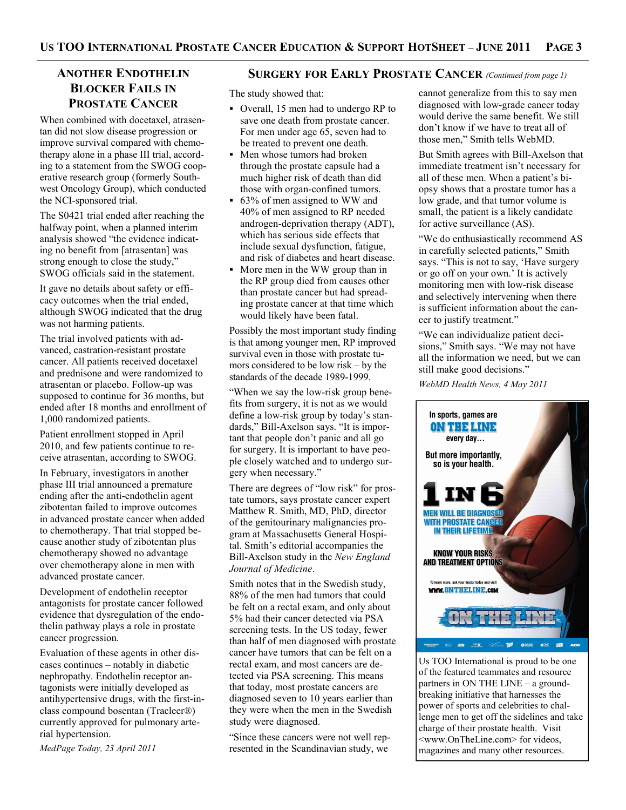## **BLOCKER FAILS IN PROSTATE CANCER**

When combined with docetaxel, atrasentan did not slow disease progression or improve survival compared with chemotherapy alone in a phase III trial, according to a statement from the SWOG cooperative research group (formerly Southwest Oncology Group), which conducted the NCI-sponsored trial.

The S0421 trial ended after reaching the halfway point, when a planned interim analysis showed "the evidence indicating no benefit from [atrasentan] was strong enough to close the study," SWOG officials said in the statement.

It gave no details about safety or efficacy outcomes when the trial ended, although SWOG indicated that the drug was not harming patients.

The trial involved patients with advanced, castration-resistant prostate cancer. All patients received docetaxel and prednisone and were randomized to atrasentan or placebo. Follow-up was supposed to continue for 36 months, but ended after 18 months and enrollment of 1,000 randomized patients.

Patient enrollment stopped in April 2010, and few patients continue to receive atrasentan, according to SWOG.

In February, investigators in another phase III trial announced a premature ending after the anti-endothelin agent zibotentan failed to improve outcomes in advanced prostate cancer when added to chemotherapy. That trial stopped because another study of zibotentan plus chemotherapy showed no advantage over chemotherapy alone in men with advanced prostate cancer.

Development of endothelin receptor antagonists for prostate cancer followed evidence that dysregulation of the endothelin pathway plays a role in prostate cancer progression.

Evaluation of these agents in other diseases continues – notably in diabetic nephropathy. Endothelin receptor antagonists were initially developed as antihypertensive drugs, with the first-inclass compound bosentan (Tracleer®) currently approved for pulmonary arterial hypertension.

*MedPage Today, 23 April 2011* 

## **ANOTHER ENDOTHELIN SURGERY FOR EARLY PROSTATE CANCER** *(Continued from page 1)*

The study showed that:

- Overall, 15 men had to undergo RP to save one death from prostate cancer. For men under age 65, seven had to be treated to prevent one death.
- Men whose tumors had broken through the prostate capsule had a much higher risk of death than did those with organ-confined tumors.
- 63% of men assigned to WW and 40% of men assigned to RP needed androgen-deprivation therapy (ADT), which has serious side effects that include sexual dysfunction, fatigue, and risk of diabetes and heart disease.
- More men in the WW group than in the RP group died from causes other than prostate cancer but had spreading prostate cancer at that time which would likely have been fatal.

Possibly the most important study finding is that among younger men, RP improved survival even in those with prostate tumors considered to be low risk – by the standards of the decade 1989-1999.

"When we say the low-risk group benefits from surgery, it is not as we would define a low-risk group by today's standards," Bill-Axelson says. "It is important that people don't panic and all go for surgery. It is important to have people closely watched and to undergo surgery when necessary."

There are degrees of "low risk" for prostate tumors, says prostate cancer expert Matthew R. Smith, MD, PhD, director of the genitourinary malignancies program at Massachusetts General Hospital. Smith's editorial accompanies the Bill-Axelson study in the *New England Journal of Medicine*.

Smith notes that in the Swedish study, 88% of the men had tumors that could be felt on a rectal exam, and only about 5% had their cancer detected via PSA screening tests. In the US today, fewer than half of men diagnosed with prostate cancer have tumors that can be felt on a rectal exam, and most cancers are detected via PSA screening. This means that today, most prostate cancers are diagnosed seven to 10 years earlier than they were when the men in the Swedish study were diagnosed.

"Since these cancers were not well represented in the Scandinavian study, we

cannot generalize from this to say men diagnosed with low-grade cancer today would derive the same benefit. We still don't know if we have to treat all of those men," Smith tells WebMD.

But Smith agrees with Bill-Axelson that immediate treatment isn't necessary for all of these men. When a patient's biopsy shows that a prostate tumor has a low grade, and that tumor volume is small, the patient is a likely candidate for active surveillance (AS).

"We do enthusiastically recommend AS in carefully selected patients," Smith says. "This is not to say, 'Have surgery or go off on your own.' It is actively monitoring men with low-risk disease and selectively intervening when there is sufficient information about the cancer to justify treatment."

"We can individualize patient decisions," Smith says. "We may not have all the information we need, but we can still make good decisions."

*WebMD Health News, 4 May 2011* 



Us TOO International is proud to be one of the featured teammates and resource partners in ON THE LINE – a groundbreaking initiative that harnesses the power of sports and celebrities to challenge men to get off the sidelines and take charge of their prostate health. Visit <www.OnTheLine.com> for videos, magazines and many other resources.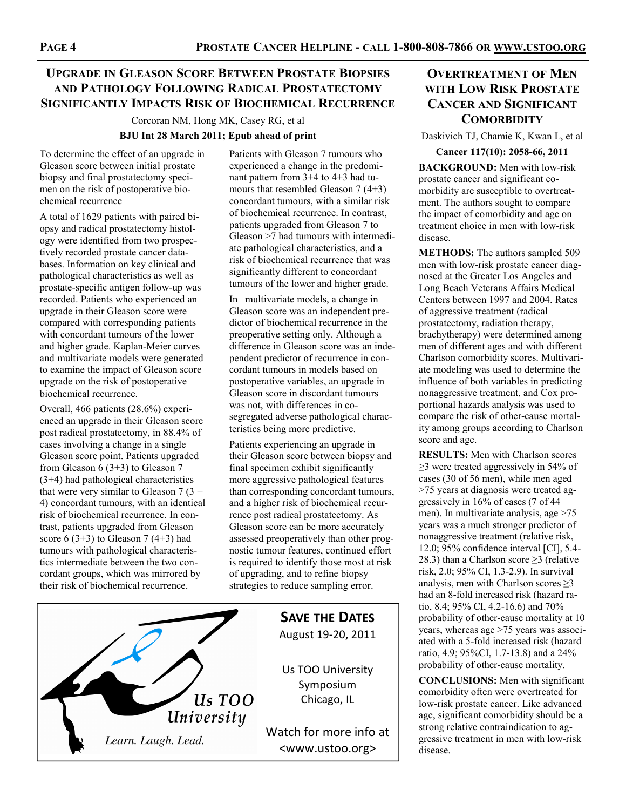## **UPGRADE IN GLEASON SCORE BETWEEN PROSTATE BIOPSIES AND PATHOLOGY FOLLOWING RADICAL PROSTATECTOMY SIGNIFICANTLY IMPACTS RISK OF BIOCHEMICAL RECURRENCE**

Corcoran NM, Hong MK, Casey RG, et al

#### **BJU Int 28 March 2011; Epub ahead of print**

To determine the effect of an upgrade in Gleason score between initial prostate biopsy and final prostatectomy specimen on the risk of postoperative biochemical recurrence

A total of 1629 patients with paired biopsy and radical prostatectomy histology were identified from two prospectively recorded prostate cancer databases. Information on key clinical and pathological characteristics as well as prostate-specific antigen follow-up was recorded. Patients who experienced an upgrade in their Gleason score were compared with corresponding patients with concordant tumours of the lower and higher grade. Kaplan-Meier curves and multivariate models were generated to examine the impact of Gleason score upgrade on the risk of postoperative biochemical recurrence.

Overall, 466 patients (28.6%) experienced an upgrade in their Gleason score post radical prostatectomy, in 88.4% of cases involving a change in a single Gleason score point. Patients upgraded from Gleason 6 (3+3) to Gleason 7 (3+4) had pathological characteristics that were very similar to Gleason  $7(3 +$ 4) concordant tumours, with an identical risk of biochemical recurrence. In contrast, patients upgraded from Gleason score  $6(3+3)$  to Gleason  $7(4+3)$  had tumours with pathological characteristics intermediate between the two concordant groups, which was mirrored by their risk of biochemical recurrence.



Patients with Gleason 7 tumours who experienced a change in the predominant pattern from 3+4 to 4+3 had tumours that resembled Gleason 7 (4+3) concordant tumours, with a similar risk of biochemical recurrence. In contrast, patients upgraded from Gleason 7 to Gleason >7 had tumours with intermediate pathological characteristics, and a risk of biochemical recurrence that was significantly different to concordant tumours of the lower and higher grade.

In multivariate models, a change in Gleason score was an independent predictor of biochemical recurrence in the preoperative setting only. Although a difference in Gleason score was an independent predictor of recurrence in concordant tumours in models based on postoperative variables, an upgrade in Gleason score in discordant tumours was not, with differences in cosegregated adverse pathological characteristics being more predictive.

Patients experiencing an upgrade in their Gleason score between biopsy and final specimen exhibit significantly more aggressive pathological features than corresponding concordant tumours, and a higher risk of biochemical recurrence post radical prostatectomy. As Gleason score can be more accurately assessed preoperatively than other prognostic tumour features, continued effort is required to identify those most at risk of upgrading, and to refine biopsy strategies to reduce sampling error.

> **SAVE THE DATES** August 19-20, 2011

Us TOO University Symposium Chicago, IL

Watch for more info at <www.ustoo.org>

## **OVERTREATMENT OF MEN WITH LOW RISK PROSTATE CANCER AND SIGNIFICANT COMORBIDITY**

Daskivich TJ, Chamie K, Kwan L, et al

**Cancer 117(10): 2058-66, 2011 BACKGROUND:** Men with low-risk prostate cancer and significant comorbidity are susceptible to overtreatment. The authors sought to compare the impact of comorbidity and age on treatment choice in men with low-risk disease.

**METHODS:** The authors sampled 509 men with low-risk prostate cancer diagnosed at the Greater Los Angeles and Long Beach Veterans Affairs Medical Centers between 1997 and 2004. Rates of aggressive treatment (radical prostatectomy, radiation therapy, brachytherapy) were determined among men of different ages and with different Charlson comorbidity scores. Multivariate modeling was used to determine the influence of both variables in predicting nonaggressive treatment, and Cox proportional hazards analysis was used to compare the risk of other-cause mortality among groups according to Charlson score and age.

**RESULTS:** Men with Charlson scores  $\geq$ 3 were treated aggressively in 54% of cases (30 of 56 men), while men aged >75 years at diagnosis were treated aggressively in 16% of cases (7 of 44 men). In multivariate analysis, age >75 years was a much stronger predictor of nonaggressive treatment (relative risk, 12.0; 95% confidence interval [CI], 5.4- 28.3) than a Charlson score  $\geq$ 3 (relative risk, 2.0; 95% CI, 1.3-2.9). In survival analysis, men with Charlson scores  $\geq$ 3 had an 8-fold increased risk (hazard ratio, 8.4; 95% CI, 4.2-16.6) and 70% probability of other-cause mortality at 10 years, whereas age >75 years was associated with a 5-fold increased risk (hazard ratio, 4.9; 95%CI, 1.7-13.8) and a 24% probability of other-cause mortality.

**CONCLUSIONS:** Men with significant comorbidity often were overtreated for low-risk prostate cancer. Like advanced age, significant comorbidity should be a strong relative contraindication to aggressive treatment in men with low-risk disease.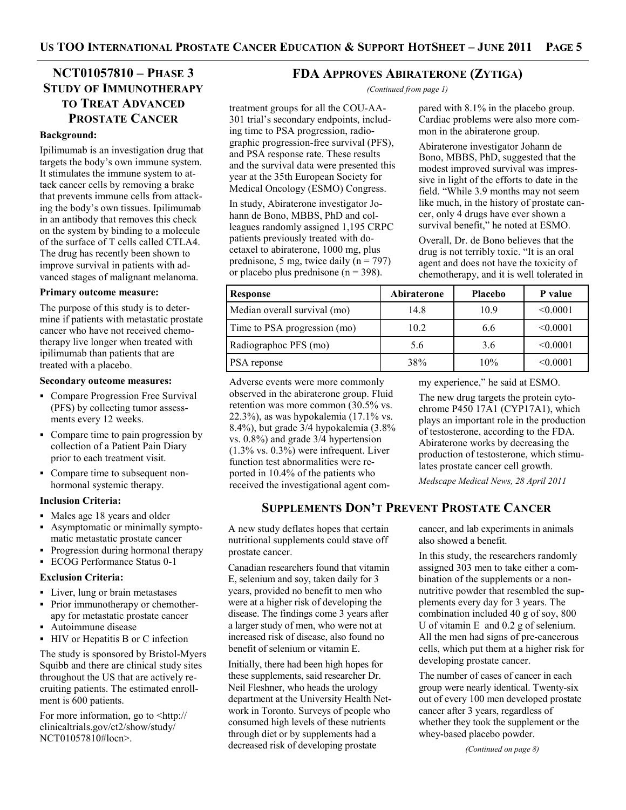## **NCT01057810 – PHASE 3 STUDY OF IMMUNOTHERAPY TO TREAT ADVANCED PROSTATE CANCER**

#### **Background:**

Ipilimumab is an investigation drug that targets the body's own immune system. It stimulates the immune system to attack cancer cells by removing a brake that prevents immune cells from attacking the body's own tissues. Ipilimumab in an antibody that removes this check on the system by binding to a molecule of the surface of T cells called CTLA4. The drug has recently been shown to improve survival in patients with advanced stages of malignant melanoma.

#### **Primary outcome measure:**

The purpose of this study is to determine if patients with metastatic prostate cancer who have not received chemotherapy live longer when treated with ipilimumab than patients that are treated with a placebo.

#### **Secondary outcome measures:**

- Compare Progression Free Survival (PFS) by collecting tumor assessments every 12 weeks.
- Compare time to pain progression by collection of a Patient Pain Diary prior to each treatment visit.
- Compare time to subsequent nonhormonal systemic therapy.

#### **Inclusion Criteria:**

- Males age 18 years and older
- Asymptomatic or minimally symptomatic metastatic prostate cancer
- Progression during hormonal therapy
- ECOG Performance Status 0-1

#### **Exclusion Criteria:**

- Liver, lung or brain metastases
- Prior immunotherapy or chemotherapy for metastatic prostate cancer
- Autoimmune disease
- HIV or Hepatitis B or C infection

The study is sponsored by Bristol-Myers Squibb and there are clinical study sites throughout the US that are actively recruiting patients. The estimated enrollment is 600 patients.

For more information, go to  $\langle$ http:// clinicaltrials.gov/ct2/show/study/ NCT01057810#locn>.

#### **FDA APPROVES ABIRATERONE (ZYTIGA)**

*(Continued from page 1)* 

treatment groups for all the COU-AA-301 trial's secondary endpoints, including time to PSA progression, radiographic progression-free survival (PFS), and PSA response rate. These results and the survival data were presented this year at the 35th European Society for Medical Oncology (ESMO) Congress.

In study, Abiraterone investigator Johann de Bono, MBBS, PhD and colleagues randomly assigned 1,195 CRPC patients previously treated with docetaxel to abiraterone, 1000 mg, plus prednisone, 5 mg, twice daily  $(n = 797)$ or placebo plus prednisone ( $n = 398$ ).

| Response                     | Abiraterone | <b>Placebo</b> | P value  |
|------------------------------|-------------|----------------|----------|
| Median overall survival (mo) | 14.8        | 10.9           | < 0.0001 |
| Time to PSA progression (mo) | 10.2        | 6.6            | < 0.0001 |
| Radiographoc PFS (mo)        | 5.6         | 3.6            | < 0.0001 |
| PSA reponse                  | 38%         | 10%            | < 0.0001 |

Adverse events were more commonly observed in the abiraterone group. Fluid retention was more common (30.5% vs. 22.3%), as was hypokalemia (17.1% vs. 8.4%), but grade 3/4 hypokalemia (3.8% vs. 0.8%) and grade 3/4 hypertension  $(1.3\% \text{ vs. } 0.3\%)$  were infrequent. Liver function test abnormalities were reported in 10.4% of the patients who received the investigational agent commy experience," he said at ESMO.

pared with 8.1% in the placebo group. Cardiac problems were also more com-

mon in the abiraterone group. Abiraterone investigator Johann de Bono, MBBS, PhD, suggested that the modest improved survival was impressive in light of the efforts to date in the field. "While 3.9 months may not seem like much, in the history of prostate cancer, only 4 drugs have ever shown a survival benefit," he noted at ESMO. Overall, Dr. de Bono believes that the drug is not terribly toxic. "It is an oral agent and does not have the toxicity of chemotherapy, and it is well tolerated in

The new drug targets the protein cytochrome P450 17A1 (CYP17A1), which plays an important role in the production of testosterone, according to the FDA. Abiraterone works by decreasing the production of testosterone, which stimulates prostate cancer cell growth.

*Medscape Medical News, 28 April 2011* 

## **SUPPLEMENTS DON'T PREVENT PROSTATE CANCER**

A new study deflates hopes that certain nutritional supplements could stave off prostate cancer.

Canadian researchers found that vitamin E, selenium and soy, taken daily for 3 years, provided no benefit to men who were at a higher risk of developing the disease. The findings come 3 years after a larger study of men, who were not at increased risk of disease, also found no benefit of selenium or vitamin E.

Initially, there had been high hopes for these supplements, said researcher Dr. Neil Fleshner, who heads the urology department at the University Health Network in Toronto. Surveys of people who consumed high levels of these nutrients through diet or by supplements had a decreased risk of developing prostate

cancer, and lab experiments in animals also showed a benefit.

In this study, the researchers randomly assigned 303 men to take either a combination of the supplements or a nonnutritive powder that resembled the supplements every day for 3 years. The combination included 40 g of soy, 800 U of vitamin E and 0.2 g of selenium. All the men had signs of pre-cancerous cells, which put them at a higher risk for developing prostate cancer.

The number of cases of cancer in each group were nearly identical. Twenty-six out of every 100 men developed prostate cancer after 3 years, regardless of whether they took the supplement or the whey-based placebo powder.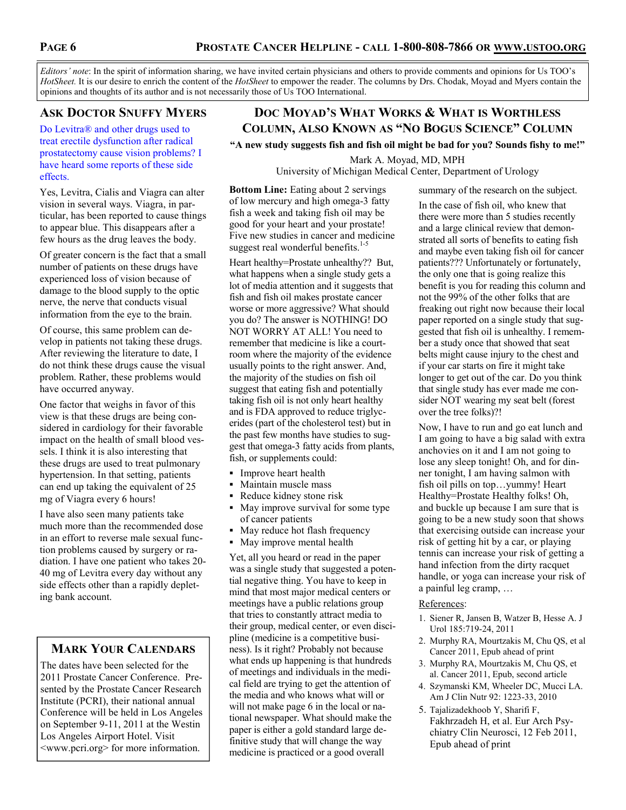*Editors' note*: In the spirit of information sharing, we have invited certain physicians and others to provide comments and opinions for Us TOO's *HotSheet.* It is our desire to enrich the content of the *HotSheet* to empower the reader. The columns by Drs. Chodak, Moyad and Myers contain the opinions and thoughts of its author and is not necessarily those of Us TOO International.

## **ASK DOCTOR SNUFFY MYERS**

Do Levitra® and other drugs used to treat erectile dysfunction after radical prostatectomy cause vision problems? I have heard some reports of these side effects.

Yes, Levitra, Cialis and Viagra can alter vision in several ways. Viagra, in particular, has been reported to cause things to appear blue. This disappears after a few hours as the drug leaves the body.

Of greater concern is the fact that a small number of patients on these drugs have experienced loss of vision because of damage to the blood supply to the optic nerve, the nerve that conducts visual information from the eye to the brain.

Of course, this same problem can develop in patients not taking these drugs. After reviewing the literature to date, I do not think these drugs cause the visual problem. Rather, these problems would have occurred anyway.

One factor that weighs in favor of this view is that these drugs are being considered in cardiology for their favorable impact on the health of small blood vessels. I think it is also interesting that these drugs are used to treat pulmonary hypertension. In that setting, patients can end up taking the equivalent of 25 mg of Viagra every 6 hours!

I have also seen many patients take much more than the recommended dose in an effort to reverse male sexual function problems caused by surgery or radiation. I have one patient who takes 20- 40 mg of Levitra every day without any side effects other than a rapidly depleting bank account.

## **MARK YOUR CALENDARS**

The dates have been selected for the 2011 Prostate Cancer Conference. Presented by the Prostate Cancer Research Institute (PCRI), their national annual Conference will be held in Los Angeles on September 9-11, 2011 at the Westin Los Angeles Airport Hotel. Visit <www.pcri.org> for more information.

## **DOC MOYAD'S WHAT WORKS & WHAT IS WORTHLESS COLUMN, ALSO KNOWN AS "NO BOGUS SCIENCE" COLUMN**

**"A new study suggests fish and fish oil might be bad for you? Sounds fishy to me!"**

Mark A. Moyad, MD, MPH University of Michigan Medical Center, Department of Urology

**Bottom Line:** Eating about 2 servings of low mercury and high omega-3 fatty fish a week and taking fish oil may be good for your heart and your prostate! Five new studies in cancer and medicine suggest real wonderful benefits. $1-5$ 

Heart healthy=Prostate unhealthy?? But, what happens when a single study gets a lot of media attention and it suggests that fish and fish oil makes prostate cancer worse or more aggressive? What should you do? The answer is NOTHING! DO NOT WORRY AT ALL! You need to remember that medicine is like a courtroom where the majority of the evidence usually points to the right answer. And, the majority of the studies on fish oil suggest that eating fish and potentially taking fish oil is not only heart healthy and is FDA approved to reduce triglycerides (part of the cholesterol test) but in the past few months have studies to suggest that omega-3 fatty acids from plants, fish, or supplements could:

- **Improve heart health**
- Maintain muscle mass
- Reduce kidney stone risk
- May improve survival for some type of cancer patients
- May reduce hot flash frequency
- May improve mental health

Yet, all you heard or read in the paper was a single study that suggested a potential negative thing. You have to keep in mind that most major medical centers or meetings have a public relations group that tries to constantly attract media to their group, medical center, or even discipline (medicine is a competitive business). Is it right? Probably not because what ends up happening is that hundreds of meetings and individuals in the medical field are trying to get the attention of the media and who knows what will or will not make page 6 in the local or national newspaper. What should make the paper is either a gold standard large definitive study that will change the way medicine is practiced or a good overall

summary of the research on the subject.

In the case of fish oil, who knew that there were more than 5 studies recently and a large clinical review that demonstrated all sorts of benefits to eating fish and maybe even taking fish oil for cancer patients??? Unfortunately or fortunately, the only one that is going realize this benefit is you for reading this column and not the 99% of the other folks that are freaking out right now because their local paper reported on a single study that suggested that fish oil is unhealthy. I remember a study once that showed that seat belts might cause injury to the chest and if your car starts on fire it might take longer to get out of the car. Do you think that single study has ever made me consider NOT wearing my seat belt (forest over the tree folks)?!

Now, I have to run and go eat lunch and I am going to have a big salad with extra anchovies on it and I am not going to lose any sleep tonight! Oh, and for dinner tonight, I am having salmon with fish oil pills on top…yummy! Heart Healthy=Prostate Healthy folks! Oh, and buckle up because I am sure that is going to be a new study soon that shows that exercising outside can increase your risk of getting hit by a car, or playing tennis can increase your risk of getting a hand infection from the dirty racquet handle, or yoga can increase your risk of a painful leg cramp, …

#### References:

- 1. Siener R, Jansen B, Watzer B, Hesse A. J Urol 185:719-24, 2011
- 2. Murphy RA, Mourtzakis M, Chu QS, et al Cancer 2011, Epub ahead of print
- 3. Murphy RA, Mourtzakis M, Chu QS, et al. Cancer 2011, Epub, second article
- 4. Szymanski KM, Wheeler DC, Mucci LA. Am J Clin Nutr 92: 1223-33, 2010
- 5. Tajalizadekhoob Y, Sharifi F, Fakhrzadeh H, et al. Eur Arch Psychiatry Clin Neurosci, 12 Feb 2011, Epub ahead of print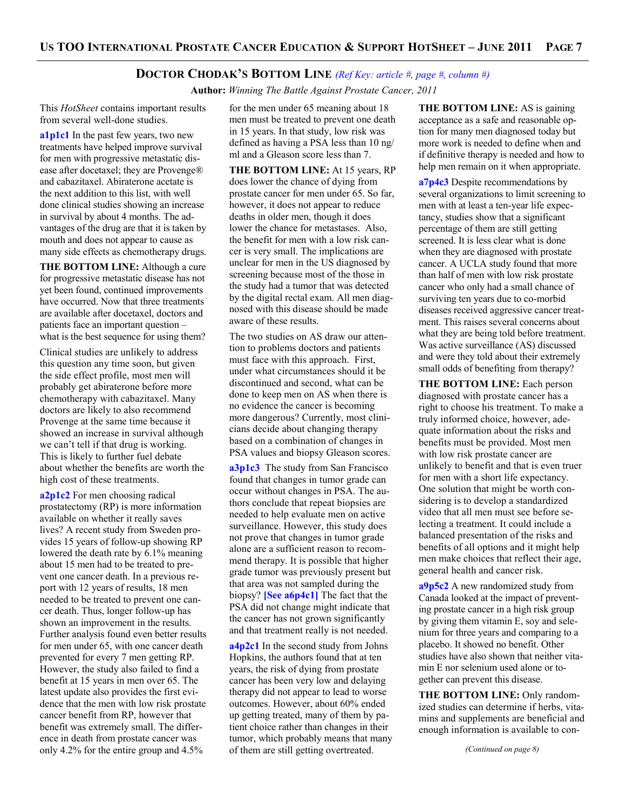#### **DOCTOR CHODAK'S BOTTOM LINE** *(Ref Key: article #, page #, column #)*

 **Author:** *Winning The Battle Against Prostate Cancer, 2011*

This *HotSheet* contains important results from several well-done studies.

**a1p1c1** In the past few years, two new treatments have helped improve survival for men with progressive metastatic disease after docetaxel; they are Provenge® and cabazitaxel. Abiraterone acetate is the next addition to this list, with well done clinical studies showing an increase in survival by about 4 months. The advantages of the drug are that it is taken by mouth and does not appear to cause as many side effects as chemotherapy drugs.

**THE BOTTOM LINE:** Although a cure for progressive metastatic disease has not yet been found, continued improvements have occurred. Now that three treatments are available after docetaxel, doctors and patients face an important question – what is the best sequence for using them?

Clinical studies are unlikely to address this question any time soon, but given the side effect profile, most men will probably get abiraterone before more chemotherapy with cabazitaxel. Many doctors are likely to also recommend Provenge at the same time because it showed an increase in survival although we can't tell if that drug is working. This is likely to further fuel debate about whether the benefits are worth the high cost of these treatments.

**a2p1c2** For men choosing radical prostatectomy (RP) is more information available on whether it really saves lives? A recent study from Sweden provides 15 years of follow-up showing RP lowered the death rate by 6.1% meaning about 15 men had to be treated to prevent one cancer death. In a previous report with 12 years of results, 18 men needed to be treated to prevent one cancer death. Thus, longer follow-up has shown an improvement in the results. Further analysis found even better results for men under 65, with one cancer death prevented for every 7 men getting RP. However, the study also failed to find a benefit at 15 years in men over 65. The latest update also provides the first evidence that the men with low risk prostate cancer benefit from RP, however that benefit was extremely small. The difference in death from prostate cancer was only 4.2% for the entire group and 4.5%

for the men under 65 meaning about 18 men must be treated to prevent one death in 15 years. In that study, low risk was defined as having a PSA less than 10 ng/ ml and a Gleason score less than 7.

**THE BOTTOM LINE:** At 15 years, RP does lower the chance of dying from prostate cancer for men under 65. So far, however, it does not appear to reduce deaths in older men, though it does lower the chance for metastases. Also, the benefit for men with a low risk cancer is very small. The implications are unclear for men in the US diagnosed by screening because most of the those in the study had a tumor that was detected by the digital rectal exam. All men diagnosed with this disease should be made aware of these results.

The two studies on AS draw our attention to problems doctors and patients must face with this approach. First, under what circumstances should it be discontinued and second, what can be done to keep men on AS when there is no evidence the cancer is becoming more dangerous? Currently, most clinicians decide about changing therapy based on a combination of changes in PSA values and biopsy Gleason scores.

**a3p1c3** The study from San Francisco found that changes in tumor grade can occur without changes in PSA. The authors conclude that repeat biopsies are needed to help evaluate men on active surveillance. However, this study does not prove that changes in tumor grade alone are a sufficient reason to recommend therapy. It is possible that higher grade tumor was previously present but that area was not sampled during the biopsy? **[See a6p4c1]** The fact that the PSA did not change might indicate that the cancer has not grown significantly and that treatment really is not needed.

**a4p2c1** In the second study from Johns Hopkins, the authors found that at ten years, the risk of dying from prostate cancer has been very low and delaying therapy did not appear to lead to worse outcomes. However, about 60% ended up getting treated, many of them by patient choice rather than changes in their tumor, which probably means that many of them are still getting overtreated.

**THE BOTTOM LINE:** AS is gaining acceptance as a safe and reasonable option for many men diagnosed today but more work is needed to define when and if definitive therapy is needed and how to help men remain on it when appropriate.

**a7p4c3** Despite recommendations by several organizations to limit screening to men with at least a ten-year life expectancy, studies show that a significant percentage of them are still getting screened. It is less clear what is done when they are diagnosed with prostate cancer. A UCLA study found that more than half of men with low risk prostate cancer who only had a small chance of surviving ten years due to co-morbid diseases received aggressive cancer treatment. This raises several concerns about what they are being told before treatment. Was active surveillance (AS) discussed and were they told about their extremely small odds of benefiting from therapy?

**THE BOTTOM LINE:** Each person diagnosed with prostate cancer has a right to choose his treatment. To make a truly informed choice, however, adequate information about the risks and benefits must be provided. Most men with low risk prostate cancer are unlikely to benefit and that is even truer for men with a short life expectancy. One solution that might be worth considering is to develop a standardized video that all men must see before selecting a treatment. It could include a balanced presentation of the risks and benefits of all options and it might help men make choices that reflect their age, general health and cancer risk.

**a9p5c2** A new randomized study from Canada looked at the impact of preventing prostate cancer in a high risk group by giving them vitamin E, soy and selenium for three years and comparing to a placebo. It showed no benefit. Other studies have also shown that neither vitamin E nor selenium used alone or together can prevent this disease.

**THE BOTTOM LINE:** Only randomized studies can determine if herbs, vitamins and supplements are beneficial and enough information is available to con-